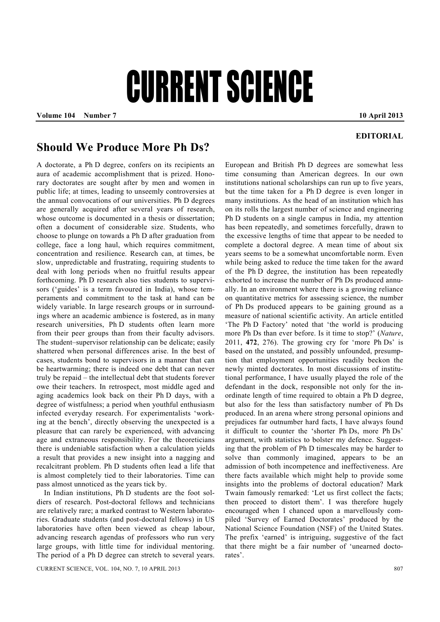## CURRENT SCIENCE

Volume 104 Number 7 **10 April 2013** 

## **EDITORIAL**

## **Should We Produce More Ph Ds?**

A doctorate, a Ph D degree, confers on its recipients an aura of academic accomplishment that is prized. Honorary doctorates are sought after by men and women in public life; at times, leading to unseemly controversies at the annual convocations of our universities. Ph D degrees are generally acquired after several years of research, whose outcome is documented in a thesis or dissertation: often a document of considerable size. Students, who choose to plunge on towards a Ph D after graduation from college, face a long haul, which requires commitment, concentration and resilience. Research can, at times, be slow, unpredictable and frustrating, requiring students to deal with long periods when no fruitful results appear forthcoming. Ph D research also ties students to supervisors ('guides' is a term favoured in India), whose temperaments and commitment to the task at hand can be widely variable. In large research groups or in surroundings where an academic ambience is fostered, as in many research universities, Ph D students often learn more from their peer groups than from their faculty advisors. The student–supervisor relationship can be delicate; easily shattered when personal differences arise. In the best of cases, students bond to supervisors in a manner that can be heartwarming; there is indeed one debt that can never truly be repaid – the intellectual debt that students forever owe their teachers. In retrospect, most middle aged and aging academics look back on their Ph D days, with a degree of wistfulness; a period when youthful enthusiasm infected everyday research. For experimentalists 'working at the bench', directly observing the unexpected is a pleasure that can rarely be experienced, with advancing age and extraneous responsibility. For the theoreticians there is undeniable satisfaction when a calculation yields a result that provides a new insight into a nagging and recalcitrant problem. Ph D students often lead a life that is almost completely tied to their laboratories. Time can pass almost unnoticed as the years tick by.

 In Indian institutions, Ph D students are the foot soldiers of research. Post-doctoral fellows and technicians are relatively rare; a marked contrast to Western laboratories. Graduate students (and post-doctoral fellows) in US laboratories have often been viewed as cheap labour, advancing research agendas of professors who run very large groups, with little time for individual mentoring. The period of a Ph D degree can stretch to several years.

CURRENT SCIENCE, VOL. 104, NO. 7, 10 APRIL 2013 807

European and British Ph D degrees are somewhat less time consuming than American degrees. In our own institutions national scholarships can run up to five years, but the time taken for a Ph D degree is even longer in many institutions. As the head of an institution which has on its rolls the largest number of science and engineering Ph D students on a single campus in India, my attention has been repeatedly, and sometimes forcefully, drawn to the excessive lengths of time that appear to be needed to complete a doctoral degree. A mean time of about six years seems to be a somewhat uncomfortable norm. Even while being asked to reduce the time taken for the award of the Ph D degree, the institution has been repeatedly exhorted to increase the number of Ph Ds produced annually. In an environment where there is a growing reliance on quantitative metrics for assessing science, the number of Ph Ds produced appears to be gaining ground as a measure of national scientific activity. An article entitled 'The Ph D Factory' noted that 'the world is producing more Ph Ds than ever before. Is it time to stop?' (*Nature*, 2011, **472**, 276). The growing cry for 'more Ph Ds' is based on the unstated, and possibly unfounded, presumption that employment opportunities readily beckon the newly minted doctorates. In most discussions of institutional performance, I have usually played the role of the defendant in the dock, responsible not only for the inordinate length of time required to obtain a Ph D degree, but also for the less than satisfactory number of Ph Ds produced. In an arena where strong personal opinions and prejudices far outnumber hard facts, I have always found it difficult to counter the 'shorter Ph Ds, more Ph Ds' argument, with statistics to bolster my defence. Suggesting that the problem of Ph D timescales may be harder to solve than commonly imagined, appears to be an admission of both incompetence and ineffectiveness. Are there facts available which might help to provide some insights into the problems of doctoral education? Mark Twain famously remarked: 'Let us first collect the facts; then proceed to distort them'. I was therefore hugely encouraged when I chanced upon a marvellously compiled 'Survey of Earned Doctorates' produced by the National Science Foundation (NSF) of the United States. The prefix 'earned' is intriguing, suggestive of the fact that there might be a fair number of 'unearned doctorates'.